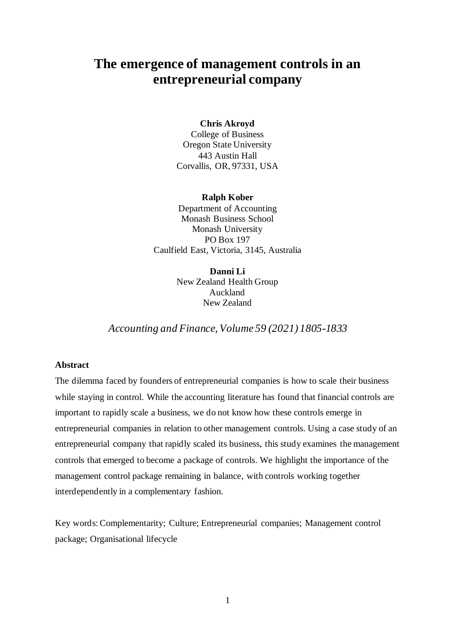# **The emergence of management controls in an entrepreneurial company**

#### **Chris Akroyd**

College of Business Oregon State University 443 Austin Hall Corvallis, OR, 97331, USA

**Ralph Kober** Department of Accounting Monash Business School Monash University PO Box 197 Caulfield East, Victoria, 3145, Australia

> **Danni Li** New Zealand Health Group Auckland New Zealand

*Accounting and Finance, Volume 59 (2021) 1805-1833*

# **Abstract**

The dilemma faced by founders of entrepreneurial companies is how to scale their business while staying in control. While the accounting literature has found that financial controls are important to rapidly scale a business, we do not know how these controls emerge in entrepreneurial companies in relation to other management controls. Using a case study of an entrepreneurial company that rapidly scaled its business, this study examines the management controls that emerged to become a package of controls. We highlight the importance of the management control package remaining in balance, with controls working together interdependently in a complementary fashion.

Key words: Complementarity; Culture; Entrepreneurial companies; Management control package; Organisational lifecycle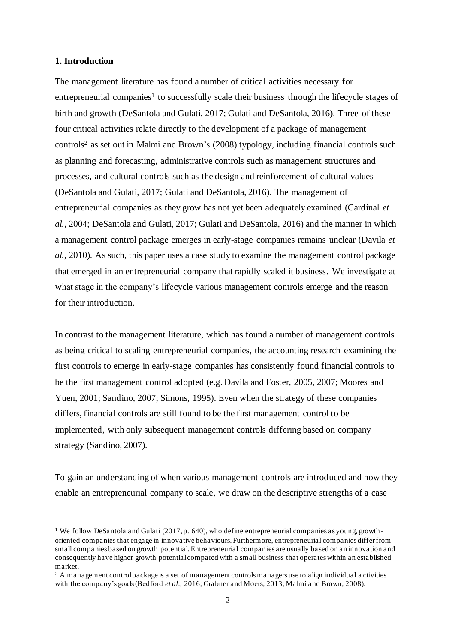## **1. Introduction**

The management literature has found a number of critical activities necessary for entrepreneurial companies<sup>1</sup> to successfully scale their business through the lifecycle stages of birth and growth (DeSantola and Gulati, 2017; Gulati and DeSantola, 2016). Three of these four critical activities relate directly to the development of a package of management controls<sup>2</sup> as set out in Malmi and Brown's  $(2008)$  typology, including financial controls such as planning and forecasting, administrative controls such as management structures and processes, and cultural controls such as the design and reinforcement of cultural values (DeSantola and Gulati, 2017; Gulati and DeSantola, 2016). The management of entrepreneurial companies as they grow has not yet been adequately examined (Cardinal *et al.*, 2004; DeSantola and Gulati, 2017; Gulati and DeSantola, 2016) and the manner in which a management control package emerges in early-stage companies remains unclear (Davila *et al.*, 2010). As such, this paper uses a case study to examine the management control package that emerged in an entrepreneurial company that rapidly scaled it business. We investigate at what stage in the company's lifecycle various management controls emerge and the reason for their introduction.

In contrast to the management literature, which has found a number of management controls as being critical to scaling entrepreneurial companies, the accounting research examining the first controls to emerge in early-stage companies has consistently found financial controls to be the first management control adopted (e.g. Davila and Foster, 2005, 2007; Moores and Yuen, 2001; Sandino, 2007; Simons, 1995). Even when the strategy of these companies differs, financial controls are still found to be the first management control to be implemented, with only subsequent management controls differing based on company strategy (Sandino, 2007).

To gain an understanding of when various management controls are introduced and how they enable an entrepreneurial company to scale, we draw on the descriptive strengths of a case

<sup>&</sup>lt;sup>1</sup> We follow DeSantola and Gulati (2017, p. 640), who define entrepreneurial companies as young, growthoriented companies that engage in innovative behaviours. Furthermore, entrepreneurial companies differ from small companies based on growth potential. Entrepreneurial companies are usually based on an innovation and consequently have higher growth potential compared with a small business that operates within an established market.

<sup>&</sup>lt;sup>2</sup> A management control package is a set of management controls managers use to align individual a ctivities with the company's goals (Bedford *et al.*, 2016; Grabner and Moers, 2013; Malmi and Brown, 2008).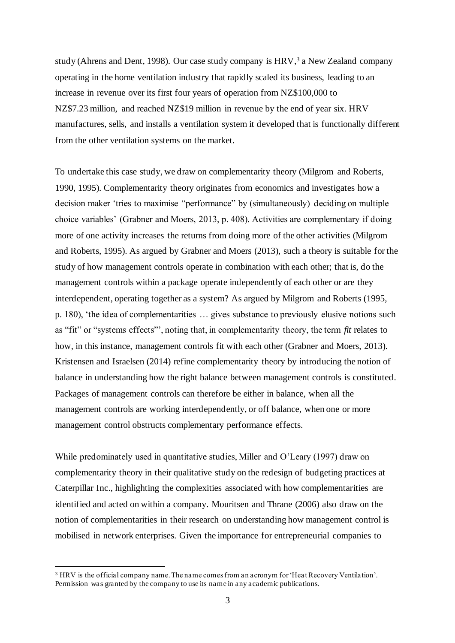study (Ahrens and Dent, 1998). Our case study company is HRV, <sup>3</sup> a New Zealand company operating in the home ventilation industry that rapidly scaled its business, leading to an increase in revenue over its first four years of operation from NZ\$100,000 to NZ\$7.23 million, and reached NZ\$19 million in revenue by the end of year six. HRV manufactures, sells, and installs a ventilation system it developed that is functionally different from the other ventilation systems on the market.

To undertake this case study, we draw on complementarity theory (Milgrom and Roberts, 1990, 1995). Complementarity theory originates from economics and investigates how a decision maker 'tries to maximise "performance" by (simultaneously) deciding on multiple choice variables' (Grabner and Moers, 2013, p. 408). Activities are complementary if doing more of one activity increases the returns from doing more of the other activities (Milgrom and Roberts, 1995). As argued by Grabner and Moers (2013), such a theory is suitable for the study of how management controls operate in combination with each other; that is, do the management controls within a package operate independently of each other or are they interdependent, operating together as a system? As argued by Milgrom and Roberts (1995, p. 180), 'the idea of complementarities … gives substance to previously elusive notions such as "fit" or "systems effects"', noting that, in complementarity theory, the term *fit* relates to how, in this instance, management controls fit with each other (Grabner and Moers, 2013). Kristensen and Israelsen (2014) refine complementarity theory by introducing the notion of balance in understanding how the right balance between management controls is constituted. Packages of management controls can therefore be either in balance, when all the management controls are working interdependently, or off balance, when one or more management control obstructs complementary performance effects.

While predominately used in quantitative studies, Miller and O'Leary (1997) draw on complementarity theory in their qualitative study on the redesign of budgeting practices at Caterpillar Inc., highlighting the complexities associated with how complementarities are identified and acted on within a company. Mouritsen and Thrane (2006) also draw on the notion of complementarities in their research on understanding how management control is mobilised in network enterprises. Given the importance for entrepreneurial companies to

<sup>3</sup> HRV is the official company name. The name comes from an acronym for 'Heat Recovery Ventilation'. Permission was granted by the company to use its name in any academic publications.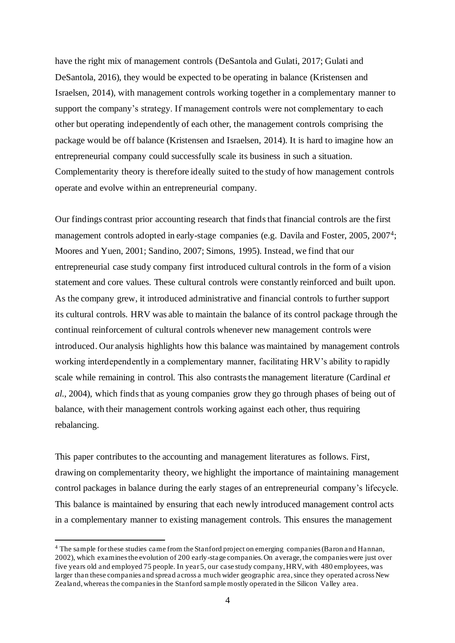have the right mix of management controls (DeSantola and Gulati, 2017; Gulati and DeSantola, 2016), they would be expected to be operating in balance (Kristensen and Israelsen, 2014), with management controls working together in a complementary manner to support the company's strategy. If management controls were not complementary to each other but operating independently of each other, the management controls comprising the package would be off balance (Kristensen and Israelsen, 2014). It is hard to imagine how an entrepreneurial company could successfully scale its business in such a situation. Complementarity theory is therefore ideally suited to the study of how management controls operate and evolve within an entrepreneurial company.

Our findings contrast prior accounting research that finds that financial controls are the first management controls adopted in early-stage companies (e.g. Davila and Foster, 2005, 2007<sup>4</sup>; Moores and Yuen, 2001; Sandino, 2007; Simons, 1995). Instead, we find that our entrepreneurial case study company first introduced cultural controls in the form of a vision statement and core values. These cultural controls were constantly reinforced and built upon. As the company grew, it introduced administrative and financial controls to further support its cultural controls. HRV was able to maintain the balance of its control package through the continual reinforcement of cultural controls whenever new management controls were introduced. Our analysis highlights how this balance was maintained by management controls working interdependently in a complementary manner, facilitating HRV's ability to rapidly scale while remaining in control. This also contrasts the management literature (Cardinal *et al*., 2004), which finds that as young companies grow they go through phases of being out of balance, with their management controls working against each other, thus requiring rebalancing.

This paper contributes to the accounting and management literatures as follows. First, drawing on complementarity theory, we highlight the importance of maintaining management control packages in balance during the early stages of an entrepreneurial company's lifecycle. This balance is maintained by ensuring that each newly introduced management control acts in a complementary manner to existing management controls. This ensures the management

<sup>4</sup> The sample for these studies came from the Stanford project on emerging companies (Baron and Hannan, 2002), which examines the evolution of 200 early-stage companies. On average, the companies were just over five years old and employed 75 people. In year 5, our case study company, HRV, with 480 employees, was larger than these companies and spread across a much wider geographic area, since they operated across New Zealand, whereas the companies in the Stanford sample mostly operated in the Silicon Valley area.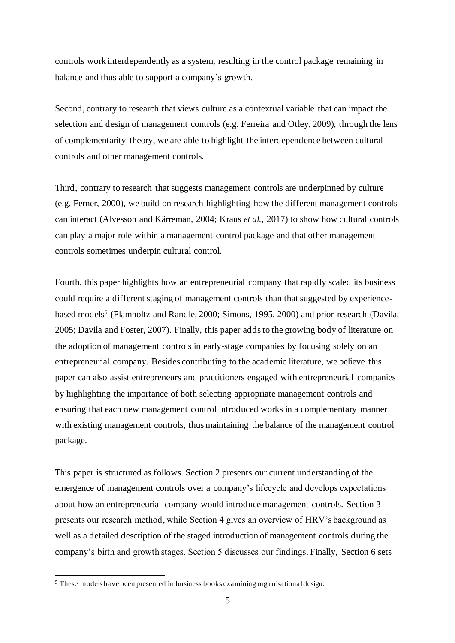controls work interdependently as a system, resulting in the control package remaining in balance and thus able to support a company's growth.

Second, contrary to research that views culture as a contextual variable that can impact the selection and design of management controls (e.g. Ferreira and Otley, 2009), through the lens of complementarity theory, we are able to highlight the interdependence between cultural controls and other management controls.

Third, contrary to research that suggests management controls are underpinned by culture (e.g. Ferner, 2000), we build on research highlighting how the different management controls can interact (Alvesson and Kärreman, 2004; Kraus *et al.*, 2017) to show how cultural controls can play a major role within a management control package and that other management controls sometimes underpin cultural control.

Fourth, this paper highlights how an entrepreneurial company that rapidly scaled its business could require a different staging of management controls than that suggested by experiencebased models<sup>5</sup> (Flamholtz and Randle, 2000; Simons, 1995, 2000) and prior research (Davila, 2005; Davila and Foster, 2007). Finally, this paper adds to the growing body of literature on the adoption of management controls in early-stage companies by focusing solely on an entrepreneurial company. Besides contributing to the academic literature, we believe this paper can also assist entrepreneurs and practitioners engaged with entrepreneurial companies by highlighting the importance of both selecting appropriate management controls and ensuring that each new management control introduced works in a complementary manner with existing management controls, thus maintaining the balance of the management control package.

This paper is structured as follows. Section 2 presents our current understanding of the emergence of management controls over a company's lifecycle and develops expectations about how an entrepreneurial company would introduce management controls. Section 3 presents our research method, while Section 4 gives an overview of HRV's background as well as a detailed description of the staged introduction of management controls during the company's birth and growth stages. Section 5 discusses our findings. Finally, Section 6 sets

<sup>5</sup> These models have been presented in business books examining orga nisational design.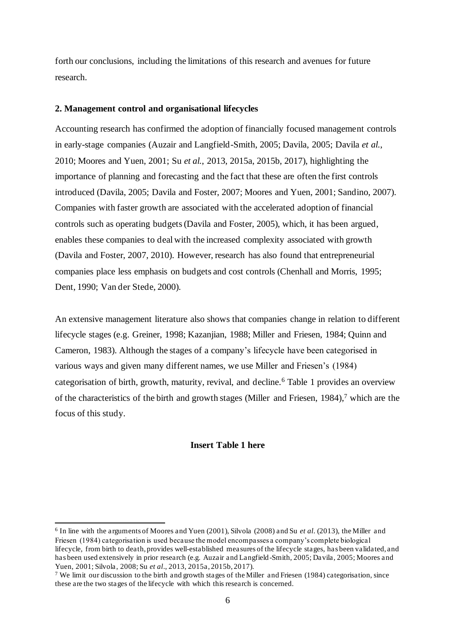forth our conclusions, including the limitations of this research and avenues for future research.

## **2. Management control and organisational lifecycles**

Accounting research has confirmed the adoption of financially focused management controls in early-stage companies (Auzair and Langfield-Smith, 2005; Davila, 2005; Davila *et al.*, 2010; Moores and Yuen, 2001; Su *et al.*, 2013, 2015a, 2015b, 2017), highlighting the importance of planning and forecasting and the fact that these are often the first controls introduced (Davila, 2005; Davila and Foster, 2007; Moores and Yuen, 2001; Sandino, 2007). Companies with faster growth are associated with the accelerated adoption of financial controls such as operating budgets (Davila and Foster, 2005), which, it has been argued, enables these companies to deal with the increased complexity associated with growth (Davila and Foster, 2007, 2010). However, research has also found that entrepreneurial companies place less emphasis on budgets and cost controls (Chenhall and Morris, 1995; Dent, 1990; Van der Stede, 2000).

An extensive management literature also shows that companies change in relation to different lifecycle stages (e.g. Greiner, 1998; Kazanjian, 1988; Miller and Friesen, 1984; Quinn and Cameron, 1983). Although the stages of a company's lifecycle have been categorised in various ways and given many different names, we use Miller and Friesen's (1984) categorisation of birth, growth, maturity, revival, and decline.<sup>6</sup> Table 1 provides an overview of the characteristics of the birth and growth stages (Miller and Friesen, 1984), <sup>7</sup> which are the focus of this study.

#### **Insert Table 1 here**

<sup>6</sup> In line with the arguments of Moores and Yuen (2001), Silvola (2008) and Su *et al.* (2013), the Miller and Friesen (1984) categorisation is used because the model encompasses a company's complete biological lifecycle, from birth to death, provides well-established measures of the lifecycle stages, has been validated, and has been used extensively in prior research (e.g. Auzair and Langfield-Smith, 2005; Davila, 2005; Moores and Yuen, 2001; Silvola, 2008; Su *et al.*, 2013, 2015a, 2015b, 2017).

<sup>7</sup> We limit our discussion to the birth and growth stages of the Miller and Friesen (1984) categorisation, since these are the two stages of the lifecycle with which this research is concerned.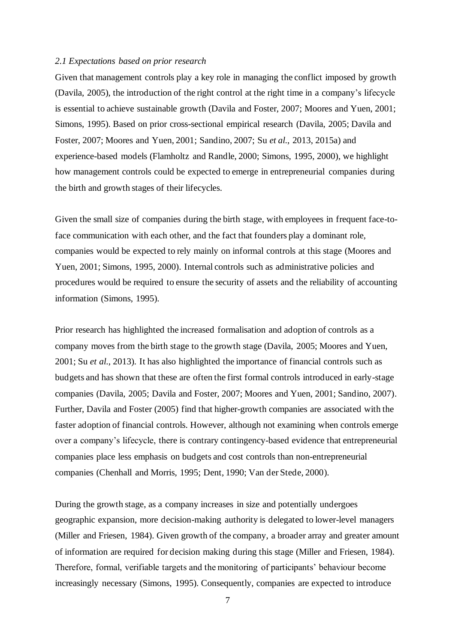#### *2.1 Expectations based on prior research*

Given that management controls play a key role in managing the conflict imposed by growth (Davila, 2005), the introduction of the right control at the right time in a company's lifecycle is essential to achieve sustainable growth (Davila and Foster, 2007; Moores and Yuen, 2001; Simons, 1995). Based on prior cross-sectional empirical research (Davila, 2005; Davila and Foster, 2007; Moores and Yuen, 2001; Sandino, 2007; Su *et al*., 2013, 2015a) and experience-based models (Flamholtz and Randle, 2000; Simons, 1995, 2000), we highlight how management controls could be expected to emerge in entrepreneurial companies during the birth and growth stages of their lifecycles.

Given the small size of companies during the birth stage, with employees in frequent face-toface communication with each other, and the fact that founders play a dominant role, companies would be expected to rely mainly on informal controls at this stage (Moores and Yuen, 2001; Simons, 1995, 2000). Internal controls such as administrative policies and procedures would be required to ensure the security of assets and the reliability of accounting information (Simons, 1995).

Prior research has highlighted the increased formalisation and adoption of controls as a company moves from the birth stage to the growth stage (Davila, 2005; Moores and Yuen, 2001; Su *et al*., 2013). It has also highlighted the importance of financial controls such as budgets and has shown that these are often the first formal controls introduced in early-stage companies (Davila, 2005; Davila and Foster, 2007; Moores and Yuen, 2001; Sandino, 2007). Further, Davila and Foster (2005) find that higher-growth companies are associated with the faster adoption of financial controls. However, although not examining when controls emerge over a company's lifecycle, there is contrary contingency-based evidence that entrepreneurial companies place less emphasis on budgets and cost controls than non-entrepreneurial companies (Chenhall and Morris, 1995; Dent, 1990; Van der Stede, 2000).

During the growth stage, as a company increases in size and potentially undergoes geographic expansion, more decision-making authority is delegated to lower-level managers (Miller and Friesen, 1984). Given growth of the company, a broader array and greater amount of information are required for decision making during this stage (Miller and Friesen, 1984). Therefore, formal, verifiable targets and the monitoring of participants' behaviour become increasingly necessary (Simons, 1995). Consequently, companies are expected to introduce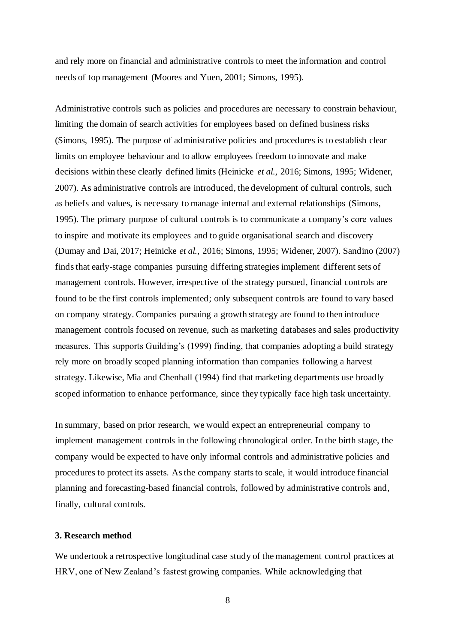and rely more on financial and administrative controls to meet the information and control needs of top management (Moores and Yuen, 2001; Simons, 1995).

Administrative controls such as policies and procedures are necessary to constrain behaviour, limiting the domain of search activities for employees based on defined business risks (Simons, 1995). The purpose of administrative policies and procedures is to establish clear limits on employee behaviour and to allow employees freedom to innovate and make decisions within these clearly defined limits (Heinicke *et al.*, 2016; Simons, 1995; Widener, 2007). As administrative controls are introduced, the development of cultural controls, such as beliefs and values, is necessary to manage internal and external relationships (Simons, 1995). The primary purpose of cultural controls is to communicate a company's core values to inspire and motivate its employees and to guide organisational search and discovery (Dumay and Dai, 2017; Heinicke *et al.*, 2016; Simons, 1995; Widener, 2007). Sandino (2007) finds that early-stage companies pursuing differing strategies implement different sets of management controls. However, irrespective of the strategy pursued, financial controls are found to be the first controls implemented; only subsequent controls are found to vary based on company strategy. Companies pursuing a growth strategy are found to then introduce management controls focused on revenue, such as marketing databases and sales productivity measures. This supports Guilding's (1999) finding, that companies adopting a build strategy rely more on broadly scoped planning information than companies following a harvest strategy. Likewise, Mia and Chenhall (1994) find that marketing departments use broadly scoped information to enhance performance, since they typically face high task uncertainty.

In summary, based on prior research, we would expect an entrepreneurial company to implement management controls in the following chronological order. In the birth stage, the company would be expected to have only informal controls and administrative policies and procedures to protect its assets. As the company starts to scale, it would introduce financial planning and forecasting-based financial controls, followed by administrative controls and, finally, cultural controls.

### **3. Research method**

We undertook a retrospective longitudinal case study of the management control practices at HRV, one of New Zealand's fastest growing companies. While acknowledging that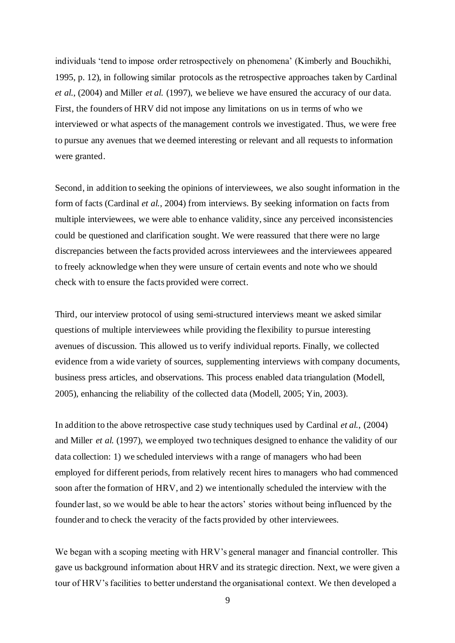individuals 'tend to impose order retrospectively on phenomena' (Kimberly and Bouchikhi, 1995, p. 12), in following similar protocols as the retrospective approaches taken by Cardinal *et al.*, (2004) and Miller *et al.* (1997), we believe we have ensured the accuracy of our data. First, the founders of HRV did not impose any limitations on us in terms of who we interviewed or what aspects of the management controls we investigated. Thus, we were free to pursue any avenues that we deemed interesting or relevant and all requests to information were granted.

Second, in addition to seeking the opinions of interviewees, we also sought information in the form of facts (Cardinal *et al.*, 2004) from interviews. By seeking information on facts from multiple interviewees, we were able to enhance validity, since any perceived inconsistencies could be questioned and clarification sought. We were reassured that there were no large discrepancies between the facts provided across interviewees and the interviewees appeared to freely acknowledge when they were unsure of certain events and note who we should check with to ensure the facts provided were correct.

Third, our interview protocol of using semi-structured interviews meant we asked similar questions of multiple interviewees while providing the flexibility to pursue interesting avenues of discussion. This allowed us to verify individual reports. Finally, we collected evidence from a wide variety of sources, supplementing interviews with company documents, business press articles, and observations. This process enabled data triangulation (Modell, 2005), enhancing the reliability of the collected data (Modell, 2005; Yin, 2003).

In addition to the above retrospective case study techniques used by Cardinal *et al.*, (2004) and Miller *et al.* (1997), we employed two techniques designed to enhance the validity of our data collection: 1) we scheduled interviews with a range of managers who had been employed for different periods, from relatively recent hires to managers who had commenced soon after the formation of HRV, and 2) we intentionally scheduled the interview with the founder last, so we would be able to hear the actors' stories without being influenced by the founder and to check the veracity of the facts provided by other interviewees.

We began with a scoping meeting with HRV's general manager and financial controller. This gave us background information about HRV and its strategic direction. Next, we were given a tour of HRV's facilities to better understand the organisational context. We then developed a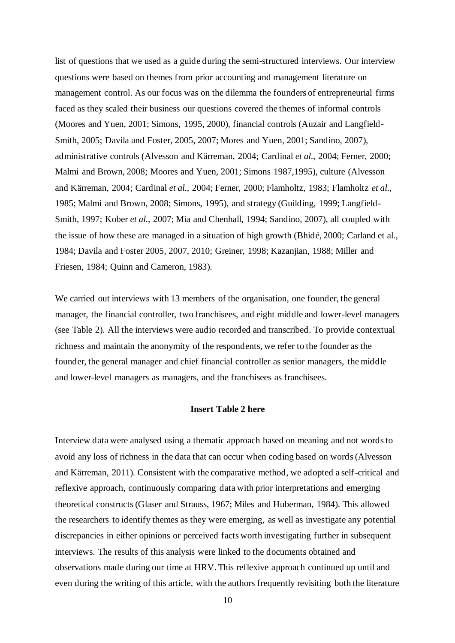list of questions that we used as a guide during the semi-structured interviews. Our interview questions were based on themes from prior accounting and management literature on management control. As our focus was on the dilemma the founders of entrepreneurial firms faced as they scaled their business our questions covered the themes of informal controls (Moores and Yuen, 2001; Simons, 1995, 2000), financial controls (Auzair and Langfield-Smith, 2005; Davila and Foster, 2005, 2007; Mores and Yuen, 2001; Sandino, 2007), administrative controls (Alvesson and Kärreman, 2004; Cardinal *et al*., 2004; Ferner, 2000; Malmi and Brown, 2008; Moores and Yuen, 2001; Simons 1987,1995), culture (Alvesson and Kärreman, 2004; Cardinal *et al*., 2004; Ferner, 2000; Flamholtz, 1983; Flamholtz *et al*., 1985; Malmi and Brown, 2008; Simons, 1995), and strategy (Guilding, 1999; Langfield-Smith, 1997; Kober *et al*., 2007; Mia and Chenhall, 1994; Sandino, 2007), all coupled with the issue of how these are managed in a situation of high growth (Bhidé, 2000; Carland et al., 1984; Davila and Foster 2005, 2007, 2010; Greiner, 1998; Kazanjian, 1988; Miller and Friesen, 1984; Quinn and Cameron, 1983).

We carried out interviews with 13 members of the organisation, one founder, the general manager, the financial controller, two franchisees, and eight middle and lower-level managers (see Table 2). All the interviews were audio recorded and transcribed. To provide contextual richness and maintain the anonymity of the respondents, we refer to the founder as the founder, the general manager and chief financial controller as senior managers, the middle and lower-level managers as managers, and the franchisees as franchisees.

#### **Insert Table 2 here**

Interview data were analysed using a thematic approach based on meaning and not words to avoid any loss of richness in the data that can occur when coding based on words (Alvesson and Kärreman, 2011). Consistent with the comparative method, we adopted a self-critical and reflexive approach, continuously comparing data with prior interpretations and emerging theoretical constructs (Glaser and Strauss, 1967; Miles and Huberman, 1984). This allowed the researchers to identify themes as they were emerging, as well as investigate any potential discrepancies in either opinions or perceived facts worth investigating further in subsequent interviews. The results of this analysis were linked to the documents obtained and observations made during our time at HRV. This reflexive approach continued up until and even during the writing of this article, with the authors frequently revisiting both the literature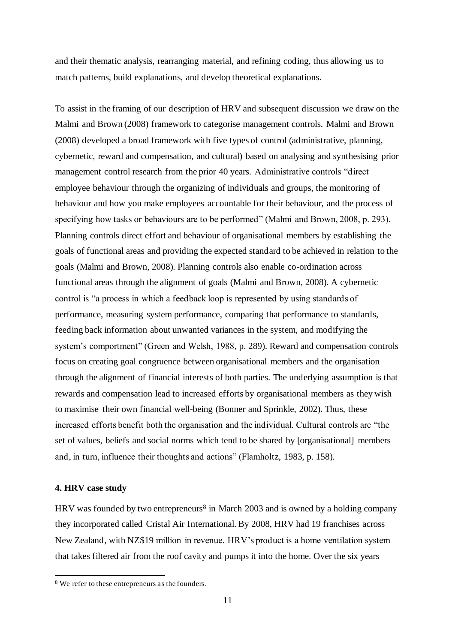and their thematic analysis, rearranging material, and refining coding, thus allowing us to match patterns, build explanations, and develop theoretical explanations.

To assist in the framing of our description of HRV and subsequent discussion we draw on the Malmi and Brown (2008) framework to categorise management controls. Malmi and Brown (2008) developed a broad framework with five types of control (administrative, planning, cybernetic, reward and compensation, and cultural) based on analysing and synthesising prior management control research from the prior 40 years. Administrative controls "direct employee behaviour through the organizing of individuals and groups, the monitoring of behaviour and how you make employees accountable for their behaviour, and the process of specifying how tasks or behaviours are to be performed" (Malmi and Brown, 2008, p. 293). Planning controls direct effort and behaviour of organisational members by establishing the goals of functional areas and providing the expected standard to be achieved in relation to the goals (Malmi and Brown, 2008). Planning controls also enable co-ordination across functional areas through the alignment of goals (Malmi and Brown, 2008). A cybernetic control is "a process in which a feedback loop is represented by using standards of performance, measuring system performance, comparing that performance to standards, feeding back information about unwanted variances in the system, and modifying the system's comportment" (Green and Welsh, 1988, p. 289). Reward and compensation controls focus on creating goal congruence between organisational members and the organisation through the alignment of financial interests of both parties. The underlying assumption is that rewards and compensation lead to increased efforts by organisational members as they wish to maximise their own financial well-being (Bonner and Sprinkle, 2002). Thus, these increased efforts benefit both the organisation and the individual. Cultural controls are "the set of values, beliefs and social norms which tend to be shared by [organisational] members and, in turn, influence their thoughts and actions" (Flamholtz, 1983, p. 158).

#### **4. HRV case study**

HRV was founded by two entrepreneurs<sup>8</sup> in March 2003 and is owned by a holding company they incorporated called Cristal Air International. By 2008, HRV had 19 franchises across New Zealand, with NZ\$19 million in revenue. HRV's product is a home ventilation system that takes filtered air from the roof cavity and pumps it into the home. Over the six years

<sup>8</sup> We refer to these entrepreneurs as the founders.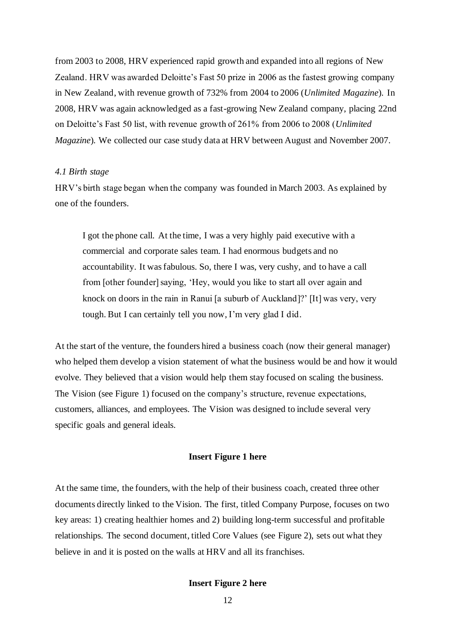from 2003 to 2008, HRV experienced rapid growth and expanded into all regions of New Zealand. HRV was awarded Deloitte's Fast 50 prize in 2006 as the fastest growing company in New Zealand, with revenue growth of 732% from 2004 to 2006 (*Unlimited Magazine*). In 2008, HRV was again acknowledged as a fast-growing New Zealand company, placing 22nd on Deloitte's Fast 50 list, with revenue growth of 261% from 2006 to 2008 (*Unlimited Magazine*). We collected our case study data at HRV between August and November 2007.

## *4.1 Birth stage*

HRV's birth stage began when the company was founded in March 2003. As explained by one of the founders.

I got the phone call. At the time, I was a very highly paid executive with a commercial and corporate sales team. I had enormous budgets and no accountability. It was fabulous. So, there I was, very cushy, and to have a call from [other founder] saying, 'Hey, would you like to start all over again and knock on doors in the rain in Ranui [a suburb of Auckland]?' [It] was very, very tough. But I can certainly tell you now, I'm very glad I did.

At the start of the venture, the founders hired a business coach (now their general manager) who helped them develop a vision statement of what the business would be and how it would evolve. They believed that a vision would help them stay focused on scaling the business. The Vision (see Figure 1) focused on the company's structure, revenue expectations, customers, alliances, and employees. The Vision was designed to include several very specific goals and general ideals.

#### **Insert Figure 1 here**

At the same time, the founders, with the help of their business coach, created three other documents directly linked to the Vision. The first, titled Company Purpose, focuses on two key areas: 1) creating healthier homes and 2) building long-term successful and profitable relationships. The second document, titled Core Values (see Figure 2), sets out what they believe in and it is posted on the walls at HRV and all its franchises.

#### **Insert Figure 2 here**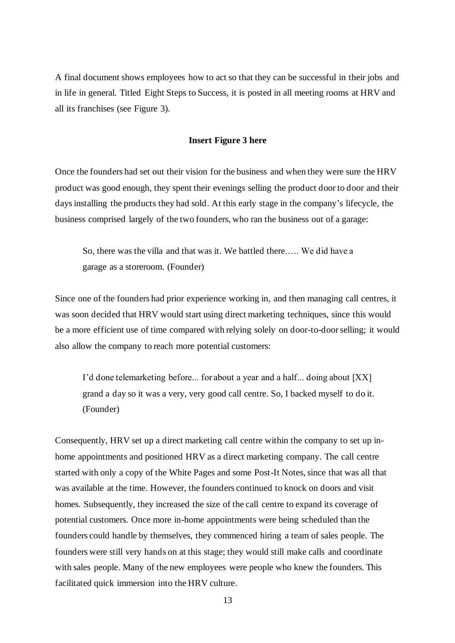A final document shows employees how to act so that they can be successful in their jobs and in life in general. Titled Eight Steps to Success, it is posted in all meeting rooms at HRV and all its franchises (see Figure 3).

# **Insert Figure 3 here**

Once the founders had set out their vision for the business and when they were sure the HRV product was good enough, they spent their evenings selling the product door to door and their days installing the products they had sold. At this early stage in the company's lifecycle, the business comprised largely of the two founders, who ran the business out of a garage:

So, there was the villa and that was it. We battled there.…. We did have a garage as a storeroom. (Founder)

Since one of the founders had prior experience working in, and then managing call centres, it was soon decided that HRV would start using direct marketing techniques, since this would be a more efficient use of time compared with relying solely on door-to-door selling; it would also allow the company to reach more potential customers:

I'd done telemarketing before... for about a year and a half... doing about [XX] grand a day so it was a very, very good call centre. So, I backed myself to do it. (Founder)

Consequently, HRV set up a direct marketing call centre within the company to set up inhome appointments and positioned HRV as a direct marketing company. The call centre started with only a copy of the White Pages and some Post-It Notes, since that was all that was available at the time. However, the founders continued to knock on doors and visit homes. Subsequently, they increased the size of the call centre to expand its coverage of potential customers. Once more in-home appointments were being scheduled than the founders could handle by themselves, they commenced hiring a team of sales people. The founders were still very hands on at this stage; they would still make calls and coordinate with sales people. Many of the new employees were people who knew the founders. This facilitated quick immersion into the HRV culture.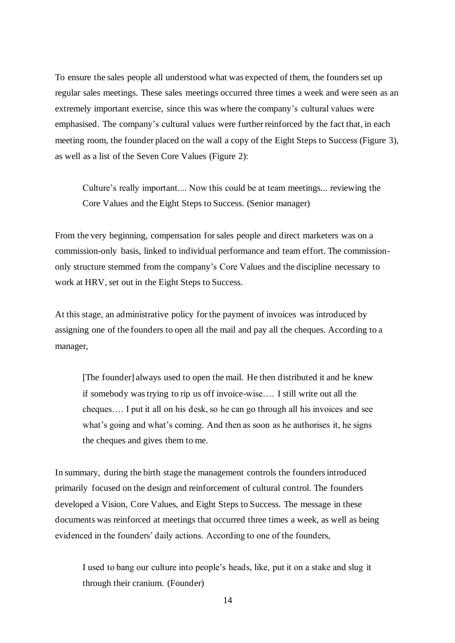To ensure the sales people all understood what was expected of them, the founders set up regular sales meetings. These sales meetings occurred three times a week and were seen as an extremely important exercise, since this was where the company's cultural values were emphasised. The company's cultural values were further reinforced by the fact that, in each meeting room, the founder placed on the wall a copy of the Eight Steps to Success (Figure 3), as well as a list of the Seven Core Values (Figure 2):

Culture's really important.... Now this could be at team meetings... reviewing the Core Values and the Eight Steps to Success. (Senior manager)

From the very beginning, compensation for sales people and direct marketers was on a commission-only basis, linked to individual performance and team effort. The commissiononly structure stemmed from the company's Core Values and the discipline necessary to work at HRV, set out in the Eight Steps to Success.

At this stage, an administrative policy for the payment of invoices was introduced by assigning one of the founders to open all the mail and pay all the cheques. According to a manager,

[The founder] always used to open the mail. He then distributed it and he knew if somebody was trying to rip us off invoice-wise…. I still write out all the cheques…. I put it all on his desk, so he can go through all his invoices and see what's going and what's coming. And then as soon as he authorises it, he signs the cheques and gives them to me.

In summary, during the birth stage the management controls the founders introduced primarily focused on the design and reinforcement of cultural control. The founders developed a Vision, Core Values, and Eight Steps to Success. The message in these documents was reinforced at meetings that occurred three times a week, as well as being evidenced in the founders' daily actions. According to one of the founders,

I used to bang our culture into people's heads, like, put it on a stake and slug it through their cranium. (Founder)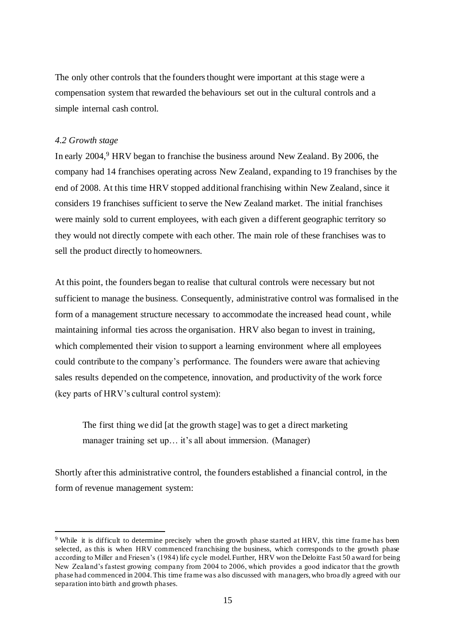The only other controls that the founders thought were important at this stage were a compensation system that rewarded the behaviours set out in the cultural controls and a simple internal cash control.

## *4.2 Growth stage*

In early 2004,<sup>9</sup> HRV began to franchise the business around New Zealand. By 2006, the company had 14 franchises operating across New Zealand, expanding to 19 franchises by the end of 2008. At this time HRV stopped additional franchising within New Zealand, since it considers 19 franchises sufficient to serve the New Zealand market. The initial franchises were mainly sold to current employees, with each given a different geographic territory so they would not directly compete with each other. The main role of these franchises was to sell the product directly to homeowners.

At this point, the founders began to realise that cultural controls were necessary but not sufficient to manage the business. Consequently, administrative control was formalised in the form of a management structure necessary to accommodate the increased head count, while maintaining informal ties across the organisation. HRV also began to invest in training, which complemented their vision to support a learning environment where all employees could contribute to the company's performance. The founders were aware that achieving sales results depended on the competence, innovation, and productivity of the work force (key parts of HRV's cultural control system):

The first thing we did [at the growth stage] was to get a direct marketing manager training set up... it's all about immersion. (Manager)

Shortly after this administrative control, the founders established a financial control, in the form of revenue management system:

<sup>9</sup> While it is difficult to determine precisely when the growth phase started at HRV, this time frame has been selected, as this is when HRV commenced franchising the business, which corresponds to the growth phase according to Miller and Friesen's (1984) life cycle model. Further, HRV won the Deloitte Fast 50 award for being New Zealand's fastest growing company from 2004 to 2006, which provides a good indicator that the growth phase had commenced in 2004. This time frame was also discussed with managers, who broa dly agreed with our separation into birth and growth phases.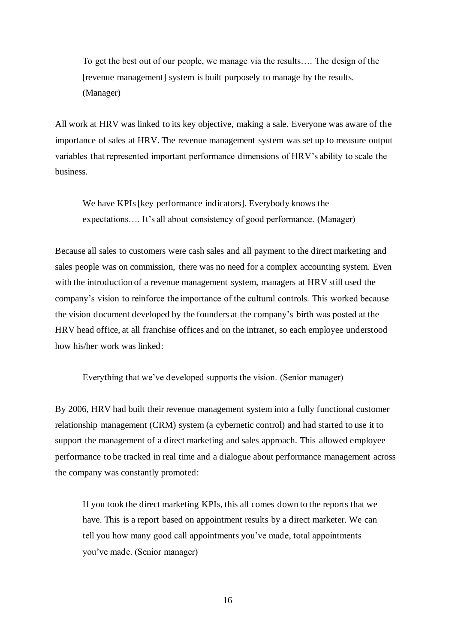To get the best out of our people, we manage via the results…. The design of the [revenue management] system is built purposely to manage by the results. (Manager)

All work at HRV was linked to its key objective, making a sale. Everyone was aware of the importance of sales at HRV. The revenue management system was set up to measure output variables that represented important performance dimensions of HRV's ability to scale the business.

We have KPIs [key performance indicators]. Everybody knows the expectations…. It's all about consistency of good performance. (Manager)

Because all sales to customers were cash sales and all payment to the direct marketing and sales people was on commission, there was no need for a complex accounting system. Even with the introduction of a revenue management system, managers at HRV still used the company's vision to reinforce the importance of the cultural controls. This worked because the vision document developed by the founders at the company's birth was posted at the HRV head office, at all franchise offices and on the intranet, so each employee understood how his/her work was linked:

Everything that we've developed supports the vision. (Senior manager)

By 2006, HRV had built their revenue management system into a fully functional customer relationship management (CRM) system (a cybernetic control) and had started to use it to support the management of a direct marketing and sales approach. This allowed employee performance to be tracked in real time and a dialogue about performance management across the company was constantly promoted:

If you took the direct marketing KPIs, this all comes down to the reports that we have. This is a report based on appointment results by a direct marketer. We can tell you how many good call appointments you've made, total appointments you've made. (Senior manager)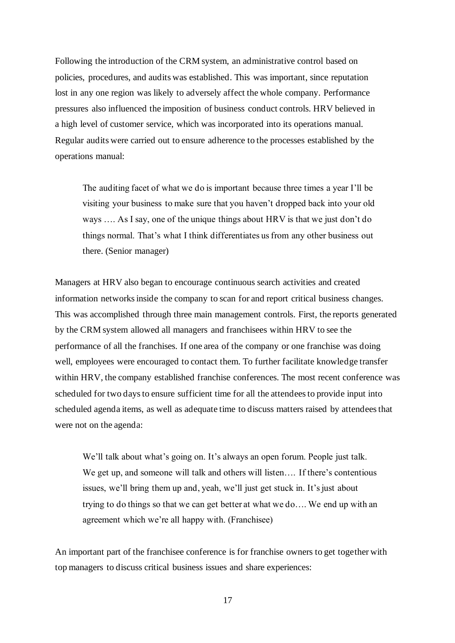Following the introduction of the CRM system, an administrative control based on policies, procedures, and audits was established. This was important, since reputation lost in any one region was likely to adversely affect the whole company. Performance pressures also influenced the imposition of business conduct controls. HRV believed in a high level of customer service, which was incorporated into its operations manual. Regular audits were carried out to ensure adherence to the processes established by the operations manual:

The auditing facet of what we do is important because three times a year I'll be visiting your business to make sure that you haven't dropped back into your old ways …. As I say, one of the unique things about HRV is that we just don't do things normal. That's what I think differentiates us from any other business out there. (Senior manager)

Managers at HRV also began to encourage continuous search activities and created information networks inside the company to scan for and report critical business changes. This was accomplished through three main management controls. First, the reports generated by the CRM system allowed all managers and franchisees within HRV to see the performance of all the franchises. If one area of the company or one franchise was doing well, employees were encouraged to contact them. To further facilitate knowledge transfer within HRV, the company established franchise conferences. The most recent conference was scheduled for two days to ensure sufficient time for all the attendees to provide input into scheduled agenda items, as well as adequate time to discuss matters raised by attendees that were not on the agenda:

We'll talk about what's going on. It's always an open forum. People just talk. We get up, and someone will talk and others will listen.... If there's contentious issues, we'll bring them up and, yeah, we'll just get stuck in. It's just about trying to do things so that we can get better at what we do…. We end up with an agreement which we're all happy with. (Franchisee)

An important part of the franchisee conference is for franchise owners to get together with top managers to discuss critical business issues and share experiences: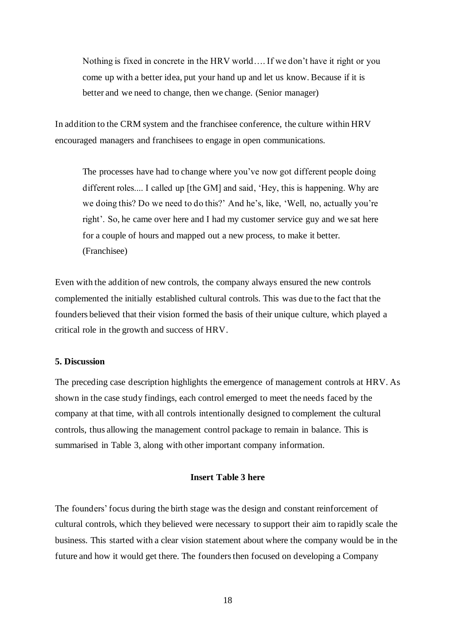Nothing is fixed in concrete in the HRV world…. If we don't have it right or you come up with a better idea, put your hand up and let us know. Because if it is better and we need to change, then we change. (Senior manager)

In addition to the CRM system and the franchisee conference, the culture within HRV encouraged managers and franchisees to engage in open communications.

The processes have had to change where you've now got different people doing different roles.... I called up [the GM] and said, 'Hey, this is happening. Why are we doing this? Do we need to do this?' And he's, like, 'Well, no, actually you're right'. So, he came over here and I had my customer service guy and we sat here for a couple of hours and mapped out a new process, to make it better. (Franchisee)

Even with the addition of new controls, the company always ensured the new controls complemented the initially established cultural controls. This was due to the fact that the founders believed that their vision formed the basis of their unique culture, which played a critical role in the growth and success of HRV.

#### **5. Discussion**

The preceding case description highlights the emergence of management controls at HRV. As shown in the case study findings, each control emerged to meet the needs faced by the company at that time, with all controls intentionally designed to complement the cultural controls, thus allowing the management control package to remain in balance. This is summarised in Table 3, along with other important company information.

#### **Insert Table 3 here**

The founders' focus during the birth stage was the design and constant reinforcement of cultural controls, which they believed were necessary to support their aim to rapidly scale the business. This started with a clear vision statement about where the company would be in the future and how it would get there. The founders then focused on developing a Company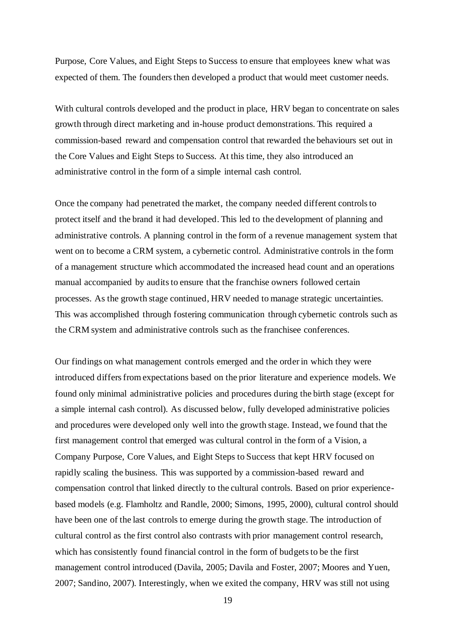Purpose, Core Values, and Eight Steps to Success to ensure that employees knew what was expected of them. The founders then developed a product that would meet customer needs.

With cultural controls developed and the product in place, HRV began to concentrate on sales growth through direct marketing and in-house product demonstrations. This required a commission-based reward and compensation control that rewarded the behaviours set out in the Core Values and Eight Steps to Success. At this time, they also introduced an administrative control in the form of a simple internal cash control.

Once the company had penetrated the market, the company needed different controls to protect itself and the brand it had developed. This led to the development of planning and administrative controls. A planning control in the form of a revenue management system that went on to become a CRM system, a cybernetic control. Administrative controls in the form of a management structure which accommodated the increased head count and an operations manual accompanied by audits to ensure that the franchise owners followed certain processes. As the growth stage continued, HRV needed to manage strategic uncertainties. This was accomplished through fostering communication through cybernetic controls such as the CRM system and administrative controls such as the franchisee conferences.

Our findings on what management controls emerged and the order in which they were introduced differs from expectations based on the prior literature and experience models. We found only minimal administrative policies and procedures during the birth stage (except for a simple internal cash control). As discussed below, fully developed administrative policies and procedures were developed only well into the growth stage. Instead, we found that the first management control that emerged was cultural control in the form of a Vision, a Company Purpose, Core Values, and Eight Steps to Success that kept HRV focused on rapidly scaling the business. This was supported by a commission-based reward and compensation control that linked directly to the cultural controls. Based on prior experiencebased models (e.g. Flamholtz and Randle, 2000; Simons, 1995, 2000), cultural control should have been one of the last controls to emerge during the growth stage. The introduction of cultural control as the first control also contrasts with prior management control research, which has consistently found financial control in the form of budgets to be the first management control introduced (Davila, 2005; Davila and Foster, 2007; Moores and Yuen, 2007; Sandino, 2007). Interestingly, when we exited the company, HRV was still not using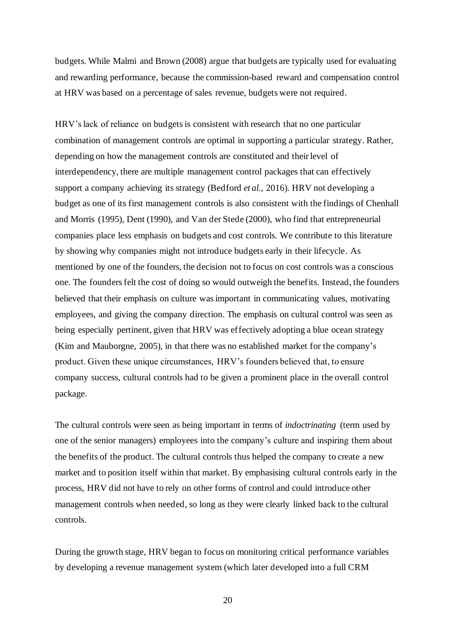budgets. While Malmi and Brown (2008) argue that budgets are typically used for evaluating and rewarding performance, because the commission-based reward and compensation control at HRV was based on a percentage of sales revenue, budgets were not required.

HRV's lack of reliance on budgets is consistent with research that no one particular combination of management controls are optimal in supporting a particular strategy. Rather, depending on how the management controls are constituted and their level of interdependency, there are multiple management control packages that can effectively support a company achieving its strategy (Bedford *et al*., 2016). HRV not developing a budget as one of its first management controls is also consistent with the findings of Chenhall and Morris (1995), Dent (1990), and Van der Stede (2000), who find that entrepreneurial companies place less emphasis on budgets and cost controls. We contribute to this literature by showing why companies might not introduce budgets early in their lifecycle. As mentioned by one of the founders, the decision not to focus on cost controls was a conscious one. The founders felt the cost of doing so would outweigh the benefits. Instead, the founders believed that their emphasis on culture was important in communicating values, motivating employees, and giving the company direction. The emphasis on cultural control was seen as being especially pertinent, given that HRV was effectively adopting a blue ocean strategy (Kim and Mauborgne, 2005), in that there was no established market for the company's product. Given these unique circumstances, HRV's founders believed that, to ensure company success, cultural controls had to be given a prominent place in the overall control package.

The cultural controls were seen as being important in terms of *indoctrinating* (term used by one of the senior managers) employees into the company's culture and inspiring them about the benefits of the product. The cultural controls thus helped the company to create a new market and to position itself within that market. By emphasising cultural controls early in the process, HRV did not have to rely on other forms of control and could introduce other management controls when needed, so long as they were clearly linked back to the cultural controls.

During the growth stage, HRV began to focus on monitoring critical performance variables by developing a revenue management system (which later developed into a full CRM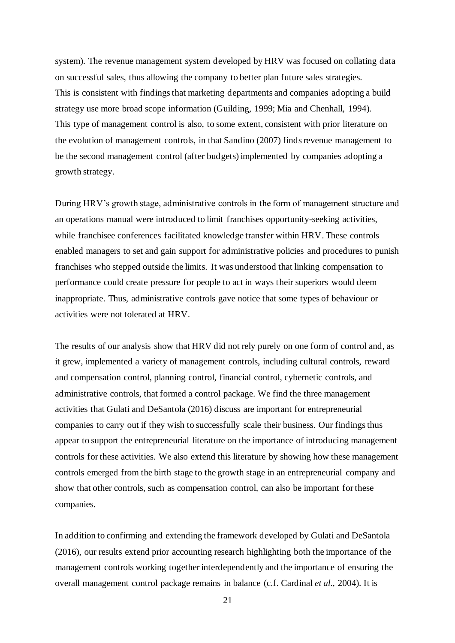system). The revenue management system developed by HRV was focused on collating data on successful sales, thus allowing the company to better plan future sales strategies. This is consistent with findings that marketing departments and companies adopting a build strategy use more broad scope information (Guilding, 1999; Mia and Chenhall, 1994). This type of management control is also, to some extent, consistent with prior literature on the evolution of management controls, in that Sandino (2007) finds revenue management to be the second management control (after budgets) implemented by companies adopting a growth strategy.

During HRV's growth stage, administrative controls in the form of management structure and an operations manual were introduced to limit franchises opportunity-seeking activities, while franchisee conferences facilitated knowledge transfer within HRV. These controls enabled managers to set and gain support for administrative policies and procedures to punish franchises who stepped outside the limits. It was understood that linking compensation to performance could create pressure for people to act in ways their superiors would deem inappropriate. Thus, administrative controls gave notice that some types of behaviour or activities were not tolerated at HRV.

The results of our analysis show that HRV did not rely purely on one form of control and, as it grew, implemented a variety of management controls, including cultural controls, reward and compensation control, planning control, financial control, cybernetic controls, and administrative controls, that formed a control package. We find the three management activities that Gulati and DeSantola (2016) discuss are important for entrepreneurial companies to carry out if they wish to successfully scale their business. Our findings thus appear to support the entrepreneurial literature on the importance of introducing management controls for these activities. We also extend this literature by showing how these management controls emerged from the birth stage to the growth stage in an entrepreneurial company and show that other controls, such as compensation control, can also be important for these companies.

In addition to confirming and extending the framework developed by Gulati and DeSantola (2016), our results extend prior accounting research highlighting both the importance of the management controls working together interdependently and the importance of ensuring the overall management control package remains in balance (c.f. Cardinal *et al*., 2004). It is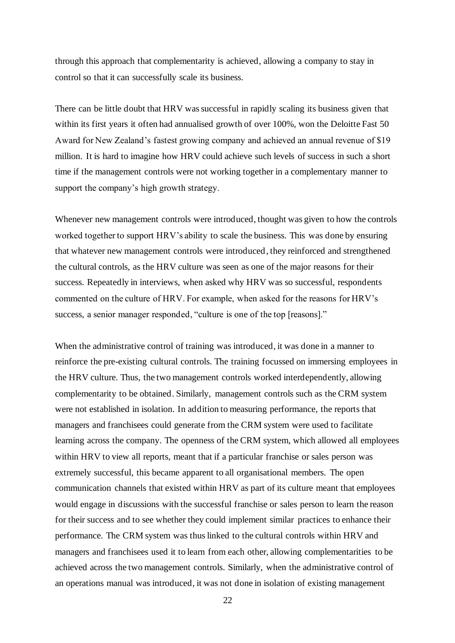through this approach that complementarity is achieved, allowing a company to stay in control so that it can successfully scale its business.

There can be little doubt that HRV was successful in rapidly scaling its business given that within its first years it often had annualised growth of over 100%, won the Deloitte Fast 50 Award for New Zealand's fastest growing company and achieved an annual revenue of \$19 million. It is hard to imagine how HRV could achieve such levels of success in such a short time if the management controls were not working together in a complementary manner to support the company's high growth strategy.

Whenever new management controls were introduced, thought was given to how the controls worked together to support HRV's ability to scale the business. This was done by ensuring that whatever new management controls were introduced, they reinforced and strengthened the cultural controls, as the HRV culture was seen as one of the major reasons for their success. Repeatedly in interviews, when asked why HRV was so successful, respondents commented on the culture of HRV. For example, when asked for the reasons for HRV's success, a senior manager responded, "culture is one of the top [reasons]."

When the administrative control of training was introduced, it was done in a manner to reinforce the pre-existing cultural controls. The training focussed on immersing employees in the HRV culture. Thus, the two management controls worked interdependently, allowing complementarity to be obtained. Similarly, management controls such as the CRM system were not established in isolation. In addition to measuring performance, the reports that managers and franchisees could generate from the CRM system were used to facilitate learning across the company. The openness of the CRM system, which allowed all employees within HRV to view all reports, meant that if a particular franchise or sales person was extremely successful, this became apparent to all organisational members. The open communication channels that existed within HRV as part of its culture meant that employees would engage in discussions with the successful franchise or sales person to learn the reason for their success and to see whether they could implement similar practices to enhance their performance. The CRM system was thus linked to the cultural controls within HRV and managers and franchisees used it to learn from each other, allowing complementarities to be achieved across the two management controls. Similarly, when the administrative control of an operations manual was introduced, it was not done in isolation of existing management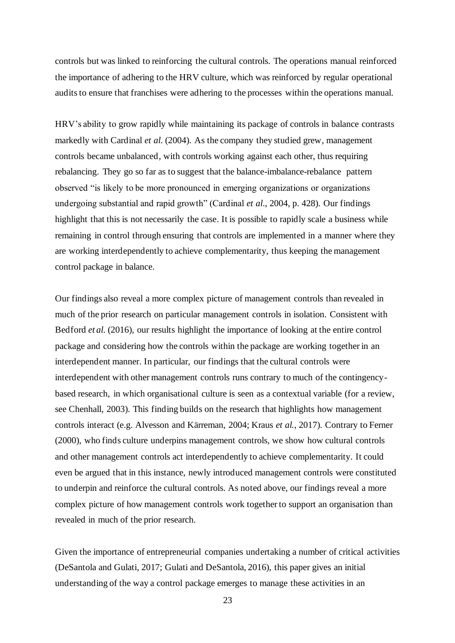controls but was linked to reinforcing the cultural controls. The operations manual reinforced the importance of adhering to the HRV culture, which was reinforced by regular operational audits to ensure that franchises were adhering to the processes within the operations manual.

HRV's ability to grow rapidly while maintaining its package of controls in balance contrasts markedly with Cardinal *et al*. (2004). As the company they studied grew, management controls became unbalanced, with controls working against each other, thus requiring rebalancing. They go so far as to suggest that the balance-imbalance-rebalance pattern observed "is likely to be more pronounced in emerging organizations or organizations undergoing substantial and rapid growth" (Cardinal *et al*., 2004, p. 428). Our findings highlight that this is not necessarily the case. It is possible to rapidly scale a business while remaining in control through ensuring that controls are implemented in a manner where they are working interdependently to achieve complementarity, thus keeping the management control package in balance.

Our findings also reveal a more complex picture of management controls than revealed in much of the prior research on particular management controls in isolation. Consistent with Bedford *et al*. (2016), our results highlight the importance of looking at the entire control package and considering how the controls within the package are working together in an interdependent manner. In particular, our findings that the cultural controls were interdependent with other management controls runs contrary to much of the contingencybased research, in which organisational culture is seen as a contextual variable (for a review, see Chenhall, 2003). This finding builds on the research that highlights how management controls interact (e.g. Alvesson and Kärreman, 2004; Kraus *et al.*, 2017). Contrary to Ferner (2000), who finds culture underpins management controls, we show how cultural controls and other management controls act interdependently to achieve complementarity. It could even be argued that in this instance, newly introduced management controls were constituted to underpin and reinforce the cultural controls. As noted above, our findings reveal a more complex picture of how management controls work together to support an organisation than revealed in much of the prior research.

Given the importance of entrepreneurial companies undertaking a number of critical activities (DeSantola and Gulati, 2017; Gulati and DeSantola, 2016), this paper gives an initial understanding of the way a control package emerges to manage these activities in an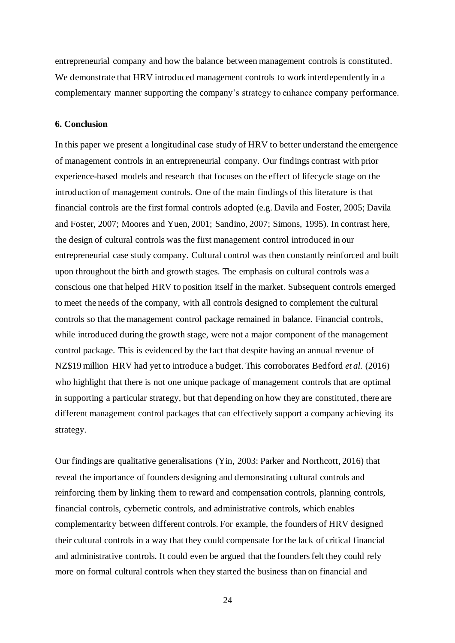entrepreneurial company and how the balance between management controls is constituted. We demonstrate that HRV introduced management controls to work interdependently in a complementary manner supporting the company's strategy to enhance company performance.

#### **6. Conclusion**

In this paper we present a longitudinal case study of HRV to better understand the emergence of management controls in an entrepreneurial company. Our findings contrast with prior experience-based models and research that focuses on the effect of lifecycle stage on the introduction of management controls. One of the main findings of this literature is that financial controls are the first formal controls adopted (e.g. Davila and Foster, 2005; Davila and Foster, 2007; Moores and Yuen, 2001; Sandino, 2007; Simons, 1995). In contrast here, the design of cultural controls was the first management control introduced in our entrepreneurial case study company. Cultural control was then constantly reinforced and built upon throughout the birth and growth stages. The emphasis on cultural controls was a conscious one that helped HRV to position itself in the market. Subsequent controls emerged to meet the needs of the company, with all controls designed to complement the cultural controls so that the management control package remained in balance. Financial controls, while introduced during the growth stage, were not a major component of the management control package. This is evidenced by the fact that despite having an annual revenue of NZ\$19 million HRV had yet to introduce a budget. This corroborates Bedford *et al*. (2016) who highlight that there is not one unique package of management controls that are optimal in supporting a particular strategy, but that depending on how they are constituted, there are different management control packages that can effectively support a company achieving its strategy.

Our findings are qualitative generalisations (Yin, 2003: Parker and Northcott, 2016) that reveal the importance of founders designing and demonstrating cultural controls and reinforcing them by linking them to reward and compensation controls, planning controls, financial controls, cybernetic controls, and administrative controls, which enables complementarity between different controls. For example, the founders of HRV designed their cultural controls in a way that they could compensate for the lack of critical financial and administrative controls. It could even be argued that the founders felt they could rely more on formal cultural controls when they started the business than on financial and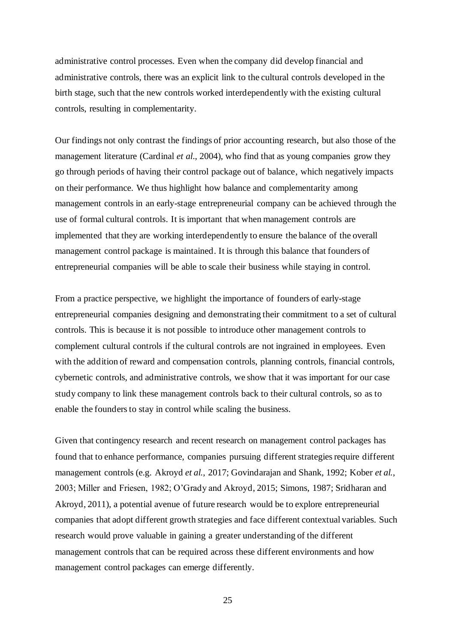administrative control processes. Even when the company did develop financial and administrative controls, there was an explicit link to the cultural controls developed in the birth stage, such that the new controls worked interdependently with the existing cultural controls, resulting in complementarity.

Our findings not only contrast the findings of prior accounting research, but also those of the management literature (Cardinal *et al*., 2004), who find that as young companies grow they go through periods of having their control package out of balance, which negatively impacts on their performance. We thus highlight how balance and complementarity among management controls in an early-stage entrepreneurial company can be achieved through the use of formal cultural controls. It is important that when management controls are implemented that they are working interdependently to ensure the balance of the overall management control package is maintained. It is through this balance that founders of entrepreneurial companies will be able to scale their business while staying in control.

From a practice perspective, we highlight the importance of founders of early-stage entrepreneurial companies designing and demonstrating their commitment to a set of cultural controls. This is because it is not possible to introduce other management controls to complement cultural controls if the cultural controls are not ingrained in employees. Even with the addition of reward and compensation controls, planning controls, financial controls, cybernetic controls, and administrative controls, we show that it was important for our case study company to link these management controls back to their cultural controls, so as to enable the founders to stay in control while scaling the business.

Given that contingency research and recent research on management control packages has found that to enhance performance, companies pursuing different strategies require different management controls (e.g. Akroyd *et al.,* 2017; Govindarajan and Shank, 1992; Kober *et al.*, 2003; Miller and Friesen, 1982; O'Grady and Akroyd, 2015; Simons, 1987; Sridharan and Akroyd, 2011), a potential avenue of future research would be to explore entrepreneurial companies that adopt different growth strategies and face different contextual variables. Such research would prove valuable in gaining a greater understanding of the different management controls that can be required across these different environments and how management control packages can emerge differently.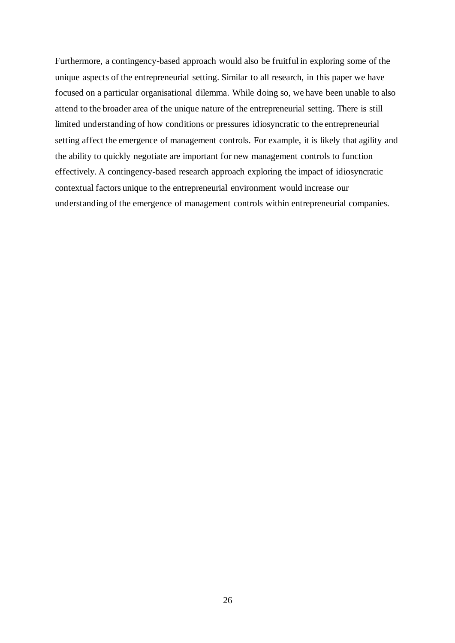Furthermore, a contingency-based approach would also be fruitful in exploring some of the unique aspects of the entrepreneurial setting. Similar to all research, in this paper we have focused on a particular organisational dilemma. While doing so, we have been unable to also attend to the broader area of the unique nature of the entrepreneurial setting. There is still limited understanding of how conditions or pressures idiosyncratic to the entrepreneurial setting affect the emergence of management controls. For example, it is likely that agility and the ability to quickly negotiate are important for new management controls to function effectively. A contingency-based research approach exploring the impact of idiosyncratic contextual factors unique to the entrepreneurial environment would increase our understanding of the emergence of management controls within entrepreneurial companies.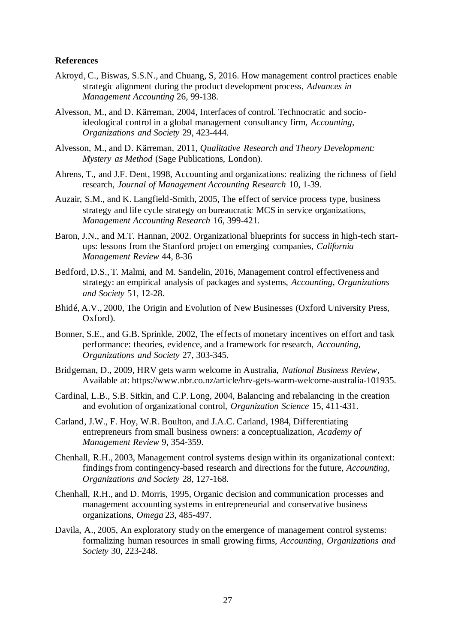#### **References**

- Akroyd, C., Biswas, S.S.N., and Chuang, S, 2016. How management control practices enable strategic alignment during the product development process, *Advances in Management Accounting* 26, 99-138.
- Alvesson, M., and D. Kärreman, 2004, Interfaces of control. Technocratic and socioideological control in a global management consultancy firm, *Accounting, Organizations and Society* 29, 423-444.
- Alvesson, M., and D. Kärreman, 2011, *Qualitative Research and Theory Development: Mystery as Method* (Sage Publications, London).
- Ahrens, T., and J.F. Dent, 1998, Accounting and organizations: realizing the richness of field research, *Journal of Management Accounting Research* 10, 1-39.
- Auzair, S.M., and K. Langfield-Smith, 2005, The effect of service process type, business strategy and life cycle strategy on bureaucratic MCS in service organizations, *Management Accounting Research* 16, 399-421.
- Baron, J.N., and M.T. Hannan, 2002. Organizational blueprints for success in high-tech startups: lessons from the Stanford project on emerging companies, *California Management Review* 44, 8-36
- Bedford, D.S., T. Malmi, and M. Sandelin, 2016, Management control effectiveness and strategy: an empirical analysis of packages and systems, *Accounting, Organizations and Society* 51, 12-28.
- Bhidé, A.V., 2000, The Origin and Evolution of New Businesses (Oxford University Press, Oxford).
- Bonner, S.E., and G.B. Sprinkle, 2002, The effects of monetary incentives on effort and task performance: theories, evidence, and a framework for research, *Accounting, Organizations and Society* 27, 303-345.
- Bridgeman, D., 2009, HRV gets warm welcome in Australia, *National Business Review*, Available at: https://www.nbr.co.nz/article/hrv-gets-warm-welcome-australia-101935.
- Cardinal, L.B., S.B. Sitkin, and C.P. Long, 2004, Balancing and rebalancing in the creation and evolution of organizational control, *Organization Science* 15, 411-431.
- Carland, J.W., F. Hoy, W.R. Boulton, and J.A.C. Carland, 1984, Differentiating entrepreneurs from small business owners: a conceptualization, *Academy of Management Review* 9, 354-359.
- Chenhall, R.H., 2003, Management control systems design within its organizational context: findings from contingency-based research and directions for the future, *Accounting, Organizations and Society* 28, 127-168.
- Chenhall, R.H., and D. Morris, 1995, Organic decision and communication processes and management accounting systems in entrepreneurial and conservative business organizations, *Omega* 23, 485-497.
- Davila, A., 2005, An exploratory study on the emergence of management control systems: formalizing human resources in small growing firms, *Accounting, Organizations and Society* 30, 223-248.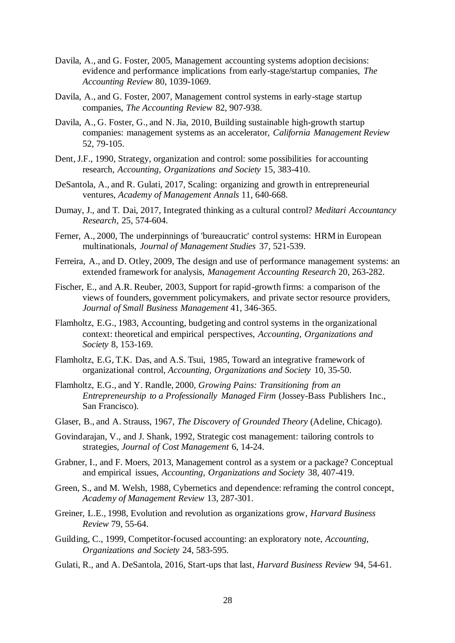- Davila, A., and G. Foster, 2005, Management accounting systems adoption decisions: evidence and performance implications from early-stage/startup companies, *The Accounting Review* 80, 1039-1069.
- Davila, A., and G. Foster, 2007, Management control systems in early-stage startup companies, *The Accounting Review* 82, 907-938.
- Davila, A., G. Foster, G., and N. Jia, 2010, Building sustainable high-growth startup companies: management systems as an accelerator, *California Management Review* 52, 79-105.
- Dent, J.F., 1990, Strategy, organization and control: some possibilities for accounting research, *Accounting, Organizations and Society* 15, 383-410.
- DeSantola, A., and R. Gulati, 2017, Scaling: organizing and growth in entrepreneurial ventures, *Academy of Management Annals* 11, 640-668.
- Dumay, J., and T. Dai, 2017, Integrated thinking as a cultural control? *Meditari Accountancy Research*, 25, 574-604.
- Ferner, A., 2000, The underpinnings of 'bureaucratic' control systems: HRM in European multinationals, *Journal of Management Studies* 37, 521-539.
- Ferreira, A., and D. Otley, 2009, The design and use of performance management systems: an extended framework for analysis, *Management Accounting Research* 20, 263-282.
- Fischer, E., and A.R. Reuber, 2003, Support for rapid-growth firms: a comparison of the views of founders, government policymakers, and private sector resource providers, *Journal of Small Business Management* 41, 346-365.
- Flamholtz, E.G., 1983, Accounting, budgeting and control systems in the organizational context: theoretical and empirical perspectives, *Accounting, Organizations and Society* 8, 153-169.
- Flamholtz, E.G, T.K. Das, and A.S. Tsui, 1985, Toward an integrative framework of organizational control, *Accounting, Organizations and Society* 10, 35-50.
- Flamholtz, E.G., and Y. Randle, 2000, *Growing Pains: Transitioning from an Entrepreneurship to a Professionally Managed Firm* (Jossey-Bass Publishers Inc., San Francisco).
- Glaser, B., and A. Strauss, 1967, *The Discovery of Grounded Theory* (Adeline, Chicago).
- Govindarajan, V., and J. Shank, 1992, Strategic cost management: tailoring controls to strategies, *Journal of Cost Management* 6, 14-24.
- Grabner, I., and F. Moers, 2013, Management control as a system or a package? Conceptual and empirical issues, *Accounting, Organizations and Society* 38, 407-419.
- Green, S., and M. Welsh, 1988, Cybernetics and dependence: reframing the control concept, *Academy of Management Review* 13, 287-301.
- Greiner, L.E., 1998, Evolution and revolution as organizations grow, *Harvard Business Review* 79, 55-64.
- Guilding, C., 1999, Competitor-focused accounting: an exploratory note, *Accounting, Organizations and Society* 24, 583-595.
- Gulati, R., and A. DeSantola, 2016, Start-ups that last, *Harvard Business Review* 94, 54-61.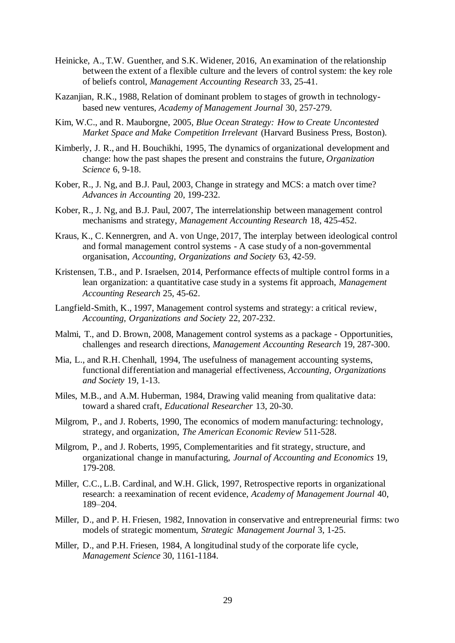- Heinicke, A., T.W. Guenther, and S.K. Widener, 2016, An examination of the relationship between the extent of a flexible culture and the levers of control system: the key role of beliefs control, *Management Accounting Research* 33, 25-41.
- Kazanjian, R.K., 1988, Relation of dominant problem to stages of growth in technologybased new ventures, *Academy of Management Journal* 30, 257-279.
- Kim, W.C., and R. Mauborgne, 2005, *Blue Ocean Strategy: How to Create Uncontested Market Space and Make Competition Irrelevant* (Harvard Business Press, Boston).
- Kimberly, J. R., and H. Bouchikhi, 1995, The dynamics of organizational development and change: how the past shapes the present and constrains the future, *Organization Science* 6, 9-18.
- Kober, R., J. Ng, and B.J. Paul, 2003, Change in strategy and MCS: a match over time? *Advances in Accounting* 20, 199-232.
- Kober, R., J. Ng, and B.J. Paul, 2007, The interrelationship between management control mechanisms and strategy, *Management Accounting Research* 18, 425-452.
- Kraus, K., C. Kennergren, and A. von Unge, 2017, The interplay between ideological control and formal management control systems - A case study of a non-governmental organisation, *Accounting, Organizations and Society* 63, 42-59.
- Kristensen, T.B., and P. Israelsen, 2014, Performance effects of multiple control forms in a lean organization: a quantitative case study in a systems fit approach, *Management Accounting Research* 25, 45-62.
- Langfield-Smith, K., 1997, Management control systems and strategy: a critical review, *Accounting, Organizations and Society* 22, 207-232.
- Malmi, T., and D. Brown, 2008, Management control systems as a package Opportunities, challenges and research directions, *Management Accounting Research* 19, 287-300.
- Mia, L., and R.H. Chenhall, 1994, The usefulness of management accounting systems, functional differentiation and managerial effectiveness, *Accounting, Organizations and Society* 19, 1-13.
- Miles, M.B., and A.M. Huberman, 1984, Drawing valid meaning from qualitative data: toward a shared craft, *Educational Researcher* 13, 20-30.
- Milgrom, P., and J. Roberts, 1990, The economics of modern manufacturing: technology, strategy, and organization, *The American Economic Review* 511-528.
- Milgrom, P., and J. Roberts, 1995, Complementarities and fit strategy, structure, and organizational change in manufacturing, *Journal of Accounting and Economics* 19, 179-208.
- Miller, C.C., L.B. Cardinal, and W.H. Glick, 1997, Retrospective reports in organizational research: a reexamination of recent evidence, *Academy of Management Journal* 40, 189–204.
- Miller, D., and P. H. Friesen, 1982, Innovation in conservative and entrepreneurial firms: two models of strategic momentum, *Strategic Management Journal* 3, 1-25.
- Miller, D., and P.H. Friesen, 1984, A longitudinal study of the corporate life cycle, *Management Science* 30, 1161-1184.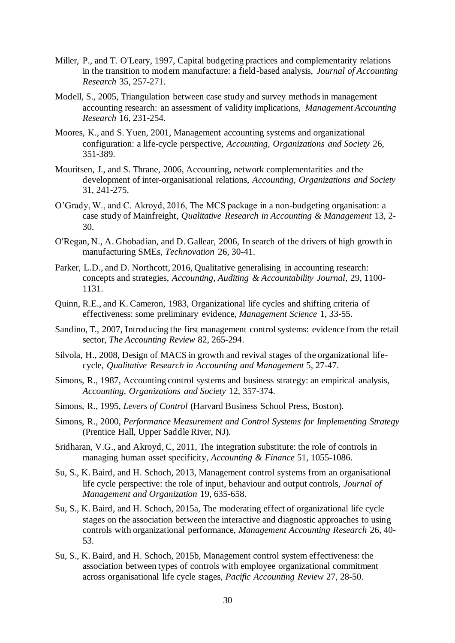- Miller, P., and T. O'Leary, 1997, Capital budgeting practices and complementarity relations in the transition to modern manufacture: a field-based analysis, *Journal of Accounting Research* 35, 257-271.
- Modell, S., 2005, Triangulation between case study and survey methods in management accounting research: an assessment of validity implications, *Management Accounting Research* 16, 231-254.
- Moores, K., and S. Yuen, 2001, Management accounting systems and organizational configuration: a life-cycle perspective, *Accounting, Organizations and Society* 26, 351-389.
- Mouritsen, J., and S. Thrane, 2006, Accounting, network complementarities and the development of inter-organisational relations, *Accounting, Organizations and Society* 31, 241-275.
- O'Grady, W., and C. Akroyd, 2016, The MCS package in a non-budgeting organisation: a case study of Mainfreight, *Qualitative Research in Accounting & Management* 13, 2- 30.
- O'Regan, N., A. Ghobadian, and D. Gallear, 2006, In search of the drivers of high growth in manufacturing SMEs, *Technovation* 26, 30-41.
- Parker, L.D., and D. Northcott, 2016, Qualitative generalising in accounting research: concepts and strategies, *Accounting, Auditing & Accountability Journal*, 29, 1100- 1131.
- Quinn, R.E., and K. Cameron, 1983, Organizational life cycles and shifting criteria of effectiveness: some preliminary evidence, *Management Science* 1, 33-55.
- Sandino, T., 2007, Introducing the first management control systems: evidence from the retail sector, *The Accounting Review* 82, 265-294.
- Silvola, H., 2008, Design of MACS in growth and revival stages of the organizational lifecycle, *Qualitative Research in Accounting and Management* 5, 27-47.
- Simons, R., 1987, Accounting control systems and business strategy: an empirical analysis, *Accounting, Organizations and Society* 12, 357-374.
- Simons, R., 1995, *Levers of Control* (Harvard Business School Press, Boston).
- Simons, R., 2000, *Performance Measurement and Control Systems for Implementing Strategy* (Prentice Hall, Upper Saddle River, NJ).
- Sridharan, V.G., and Akroyd, C, 2011, The integration substitute: the role of controls in managing human asset specificity, *Accounting & Finance* 51, 1055-1086.
- Su, S., K. Baird, and H. Schoch, 2013, Management control systems from an organisational life cycle perspective: the role of input, behaviour and output controls, *Journal of Management and Organization* 19, 635-658.
- Su, S., K. Baird, and H. Schoch, 2015a, The moderating effect of organizational life cycle stages on the association between the interactive and diagnostic approaches to using controls with organizational performance, *Management Accounting Research* 26, 40- 53.
- Su, S., K. Baird, and H. Schoch, 2015b, Management control system effectiveness: the association between types of controls with employee organizational commitment across organisational life cycle stages, *Pacific Accounting Review* 27, 28-50.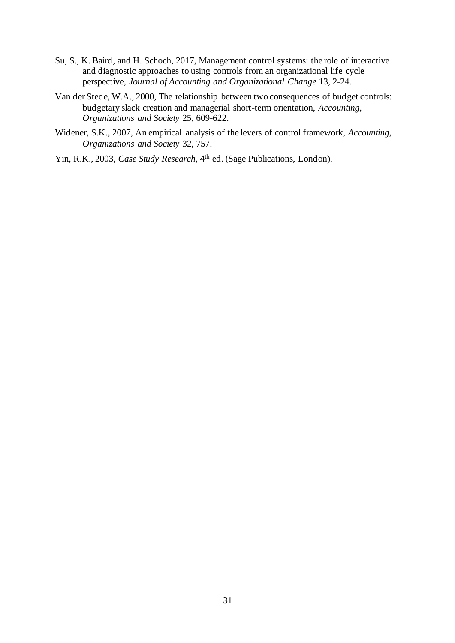- Su, S., K. Baird, and H. Schoch, 2017, Management control systems: the role of interactive and diagnostic approaches to using controls from an organizational life cycle perspective, *Journal of Accounting and Organizational Change* 13, 2-24.
- Van der Stede, W.A., 2000, The relationship between two consequences of budget controls: budgetary slack creation and managerial short-term orientation, *Accounting, Organizations and Society* 25, 609-622.
- Widener, S.K., 2007, An empirical analysis of the levers of control framework, *Accounting, Organizations and Society* 32, 757.
- Yin, R.K., 2003, *Case Study Research*, 4<sup>th</sup> ed. (Sage Publications, London).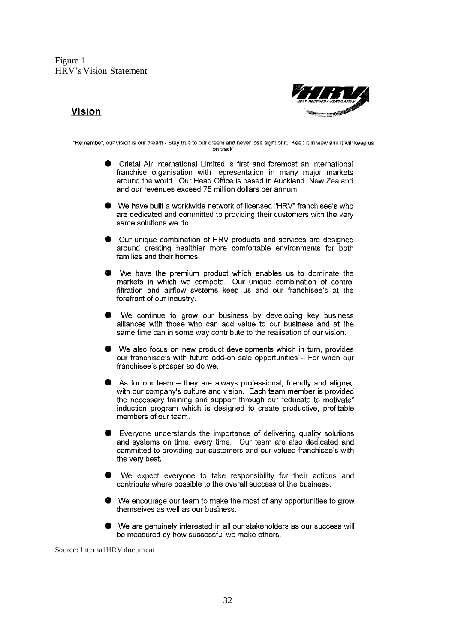

# **Vision**

"Remember, our vision is our dream - Stay true to our dream and never lose sight of it. Keep it in view and it will keep us on track

- Cristal Air International Limited is first and foremost an international franchise organisation with representation in many major markets around the world. Our Head Office is based in Auckland. New Zealand and our revenues exceed 75 million dollars per annum.
- We have built a worldwide network of licensed "HRV" franchisee's who are dedicated and committed to providing their customers with the very same solutions we do.
- Our unique combination of HRV products and services are designed around creating healthier more comfortable environments for both families and their homes.
- We have the premium product which enables us to dominate the markets in which we compete. Our unique combination of control filtration and airflow systems keep us and our franchisee's at the forefront of our industry.
- We continue to arow our business by developing key business alliances with those who can add value to our business and at the same time can in some way contribute to the realisation of our vision.
- We also focus on new product developments which in turn, provides our franchisee's with future add-on sale opportunities - For when our franchisee's prosper so do we.
- As for our team they are always professional, friendly and aligned with our company's culture and vision. Each team member is provided the necessary training and support through our "educate to motivate" induction program which is designed to create productive, profitable members of our team.
- Everyone understands the importance of delivering quality solutions and systems on time, every time. Our team are also dedicated and committed to providing our customers and our valued franchisee's with the very best.
- We expect everyone to take responsibility for their actions and contribute where possible to the overall success of the business.
- We encourage our team to make the most of any opportunities to grow themselves as well as our business.
- We are genuinely interested in all our stakeholders as our success will be measured by how successful we make others.

Source: Internal HRV document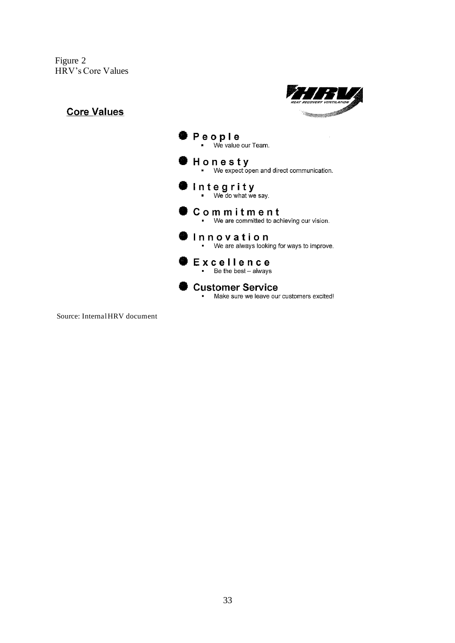Figure 2 HRV's Core Values



# **Core Values**



Source: Internal HRV document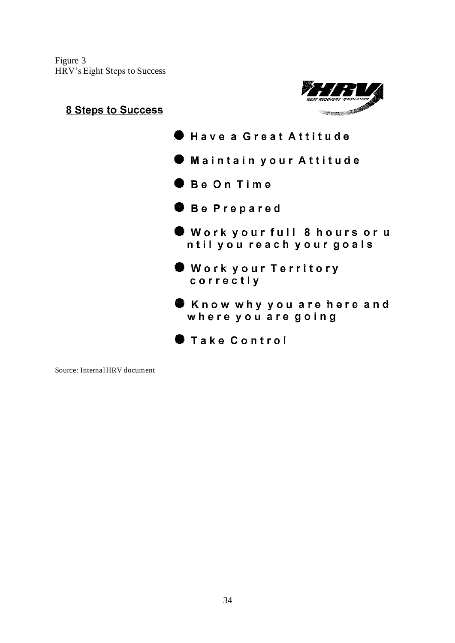Figure 3 HRV's Eight Steps to Success



# **8 Steps to Success**

- Have a Great Attitude
- Maintain your Attitude
- **Be On Time**
- **Be Prepared**
- Work your full 8 hours or u ntil you reach your goals
- Work your Territory correctly
- Know why you are here and where you are going
- Take Control

Source: Internal HRV document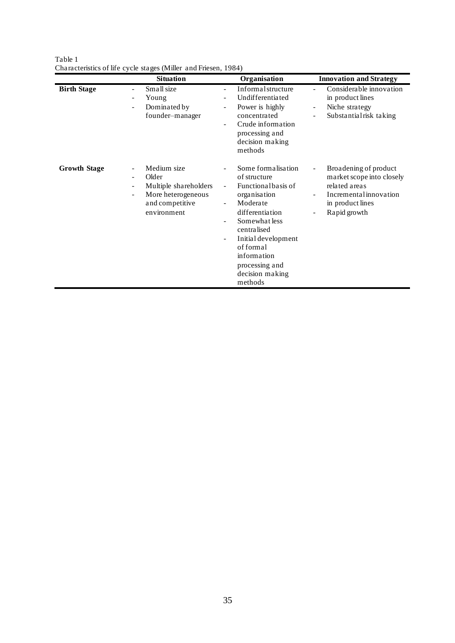|                     | <b>Situation</b>                                                                                                                                                         | Organisation                                                                                                                                                                                                                                                                                                                            | <b>Innovation and Strategy</b>                                                                                                                                     |
|---------------------|--------------------------------------------------------------------------------------------------------------------------------------------------------------------------|-----------------------------------------------------------------------------------------------------------------------------------------------------------------------------------------------------------------------------------------------------------------------------------------------------------------------------------------|--------------------------------------------------------------------------------------------------------------------------------------------------------------------|
| <b>Birth Stage</b>  | Small size<br>÷<br>Young<br>Dominated by<br>$\overline{\phantom{0}}$<br>founder-manager                                                                                  | Informal structure<br>$\overline{a}$<br>Undifferentiated<br>Power is highly<br>$\overline{\phantom{a}}$<br>concentrated<br>Crude information<br>processing and<br>decision making<br>methods                                                                                                                                            | Considerable innovation<br>in product lines<br>Niche strategy<br>۰<br>Substantial risk taking<br>-                                                                 |
| <b>Growth Stage</b> | Medium size<br>-<br>Older<br>$\overline{\phantom{0}}$<br>Multiple shareholders<br>Ξ.<br>More heterogeneous<br>$\overline{\phantom{0}}$<br>and competitive<br>environment | Some formalisation<br>of structure<br>Functional basis of<br>$\blacksquare$<br>organisation<br>Moderate<br>$\blacksquare$<br>differentiation<br>Somewhat less<br>$\overline{\phantom{a}}$<br>centralised<br>Initial development<br>$\overline{\phantom{a}}$<br>of formal<br>information<br>processing and<br>decision making<br>methods | Broadening of product<br>÷<br>market scope into closely<br>related areas<br>Incremental innovation<br>in product lines<br>Rapid growth<br>$\overline{\phantom{0}}$ |

Table 1 Characteristics of life cycle stages (Miller and Friesen, 1984)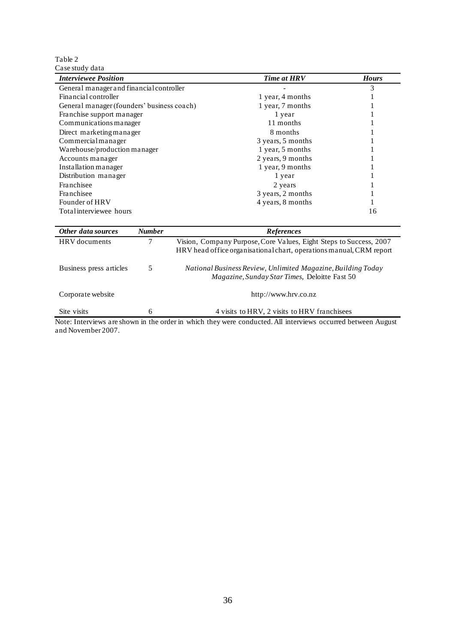Table 2 Case study data

| <b>Interviewee Position</b>                | <b>Time at HRV</b> | <b>Hours</b> |
|--------------------------------------------|--------------------|--------------|
| General manager and financial controller   |                    | 3            |
| Financial controller                       | 1 year, 4 months   |              |
| General manager (founders' business coach) | 1 year, 7 months   |              |
| Franchise support manager                  | 1 year             |              |
| Communications manager                     | 11 months          |              |
| Direct marketing manager                   | 8 months           |              |
| Commercialmanager                          | 3 years, 5 months  |              |
| Warehouse/production manager               | 1 year, 5 months   |              |
| Accounts manager                           | 2 years, 9 months  |              |
| Installation manager                       | 1 year, 9 months   |              |
| Distribution manager                       | 1 year             |              |
| Franchisee                                 | 2 years            |              |
| Franchisee                                 | 3 years, 2 months  |              |
| Founder of HRV                             | 4 years, 8 months  |              |
| Total interviewee hours                    |                    | 16           |

| Other data sources                                                                                           | <b>Number</b> | <b>References</b>                                                                                                                         |  |
|--------------------------------------------------------------------------------------------------------------|---------------|-------------------------------------------------------------------------------------------------------------------------------------------|--|
| HRV documents                                                                                                | 7             | Vision, Company Purpose, Core Values, Eight Steps to Success, 2007<br>HRV head office organisational chart, operations manual, CRM report |  |
| Business press articles                                                                                      | 5             | National Business Review, Unlimited Magazine, Building Today<br>Magazine, Sunday Star Times, Deloitte Fast 50                             |  |
| Corporate website                                                                                            |               | http://www.hrv.co.nz                                                                                                                      |  |
| Site visits                                                                                                  | 6             | 4 visits to HRV, 2 visits to HRV franchisees                                                                                              |  |
| Note: Interviews are shown in the order in which they were conducted. All interviews occurred between August |               |                                                                                                                                           |  |

Note: Interviews are shown in the order in which they were conducted. All interviews occurred between August and November 2007.